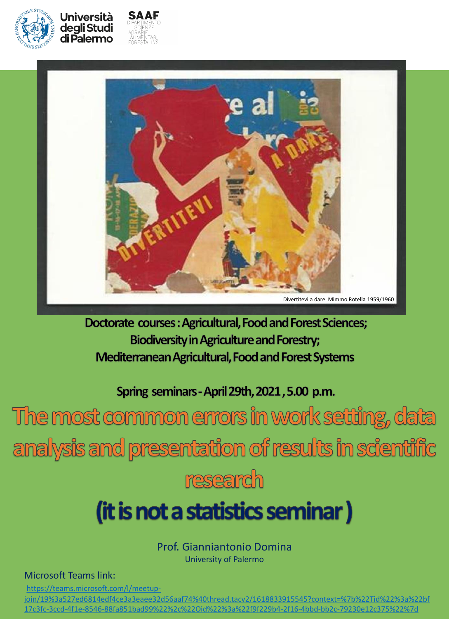



Università deali Studi di Palermo



Doctorate courses: Agricultural, Food and Forest Sciences; **Biodiversity in Agriculture and Forestry;** Mediterranean Agricultural, Food and Forest Systems

Spring seminars - April 29th, 2021, 5.00 p.m.

The most common errors in work setting, data analysis and presentation of results in scientific research

## (it is not a statistics seminar)

Prof. Gianniantonio Domina University of Palermo

Microsoft Teams link:

https://teams.microsoft.com/l/meetup-

[join/19%3a527ed6814edf4ce3a3eaee32d56aaf74%40thread.tacv2/1618833915545?context=%7b%22Tid%22%3a%22bf](https://teams.microsoft.com/l/meetup-join/19:527ed6814edf4ce3a3eaee32d56aaf74@thread.tacv2/1618833915545?context=%7b%22Tid%22:%22bf17c3fc-3ccd-4f1e-8546-88fa851bad99%22,%22Oid%22:%22f9f229b4-2f16-4bbd-bb2c-79230e12c375%22%7d) 17c3fc-3ccd-4f1e-8546-88fa851bad99%22%2c%22Oid%22%3a%22f9f229b4-2f16-4bbd-bb2c-79230e12c375%22%7d